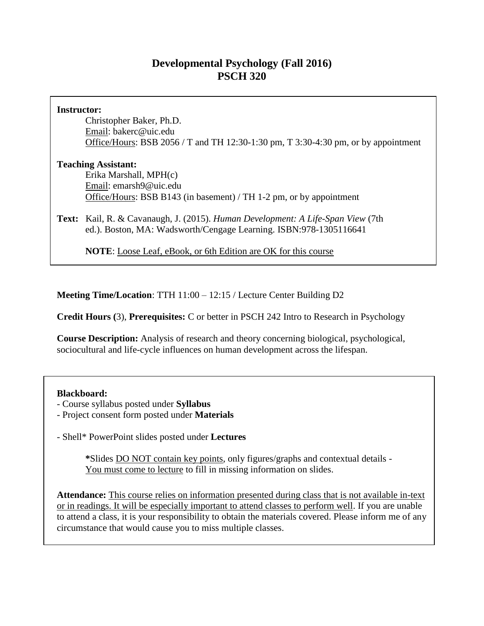# **Developmental Psychology (Fall 2016) PSCH 320**

### **Instructor:**

Christopher Baker, Ph.D. Email: bakerc@uic.edu Office/Hours: BSB 2056 / T and TH 12:30-1:30 pm, T 3:30-4:30 pm, or by appointment

# **Teaching Assistant:**

Erika Marshall, MPH(c) Email: emarsh9@uic.edu Office/Hours: BSB B143 (in basement) / TH 1-2 pm, or by appointment

**Text:** Kail, R. & Cavanaugh, J. (2015). *Human Development: A Life-Span View* (7th ed.). Boston, MA: Wadsworth/Cengage Learning. ISBN:978-1305116641

**NOTE**: Loose Leaf, eBook, or 6th Edition are OK for this course

**Meeting Time/Location**: TTH 11:00 – 12:15 / Lecture Center Building D2

**Credit Hours (**3), **Prerequisites:** C or better in PSCH 242 Intro to Research in Psychology

**Course Description:** Analysis of research and theory concerning biological, psychological, sociocultural and life-cycle influences on human development across the lifespan.

# **Blackboard:**

- Course syllabus posted under **Syllabus**
- Project consent form posted under **Materials**
- Shell\* PowerPoint slides posted under **Lectures**

**\***Slides DO NOT contain key points, only figures/graphs and contextual details - You must come to lecture to fill in missing information on slides.

**Attendance:** This course relies on information presented during class that is not available in-text or in readings. It will be especially important to attend classes to perform well. If you are unable to attend a class, it is your responsibility to obtain the materials covered. Please inform me of any circumstance that would cause you to miss multiple classes.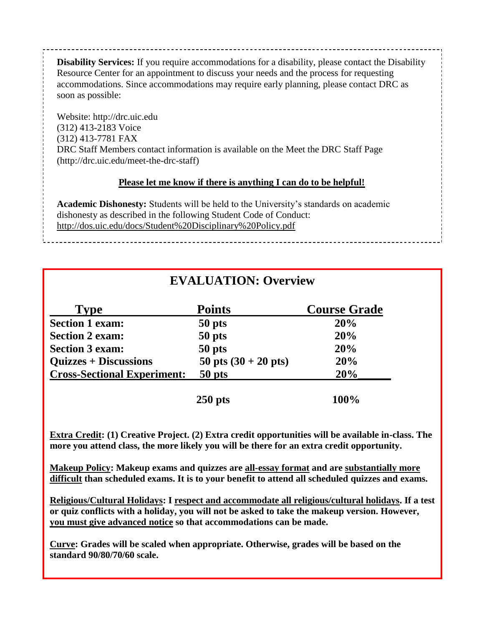**Disability Services:** If you require accommodations for a disability, please contact the Disability Resource Center for an appointment to discuss your needs and the process for requesting accommodations. Since accommodations may require early planning, please contact DRC as soon as possible:

Website: http://drc.uic.edu (312) 413-2183 Voice (312) 413-7781 FAX DRC Staff Members contact information is available on the Meet the DRC Staff Page (http://drc.uic.edu/meet-the-drc-staff)

# **Please let me know if there is anything I can do to be helpful!**

**Academic Dishonesty:** Students will be held to the University's standards on academic dishonesty as described in the following Student Code of Conduct: http://dos.uic.edu/docs/Student%20Disciplinary%20Policy.pdf

# **EVALUATION: Overview**

| <b>Type</b>                        | <b>Points</b>                  | <b>Course Grade</b> |
|------------------------------------|--------------------------------|---------------------|
| <b>Section 1 exam:</b>             | 50 pts                         | 20%                 |
| <b>Section 2 exam:</b>             | 50 pts                         | 20%                 |
| <b>Section 3 exam:</b>             | 50 pts                         | 20%                 |
| <b>Quizzes + Discussions</b>       | 50 pts $(30 + 20 \text{ pts})$ | 20%                 |
| <b>Cross-Sectional Experiment:</b> | 50 pts                         | 20%                 |
| $250$ pts                          |                                | 100%                |

**Extra Credit: (1) Creative Project. (2) Extra credit opportunities will be available in-class. The more you attend class, the more likely you will be there for an extra credit opportunity.**

**Makeup Policy: Makeup exams and quizzes are all-essay format and are substantially more difficult than scheduled exams. It is to your benefit to attend all scheduled quizzes and exams.**

**Religious/Cultural Holidays: I respect and accommodate all religious/cultural holidays. If a test or quiz conflicts with a holiday, you will not be asked to take the makeup version. However, you must give advanced notice so that accommodations can be made.**

**Curve: Grades will be scaled when appropriate. Otherwise, grades will be based on the standard 90/80/70/60 scale.**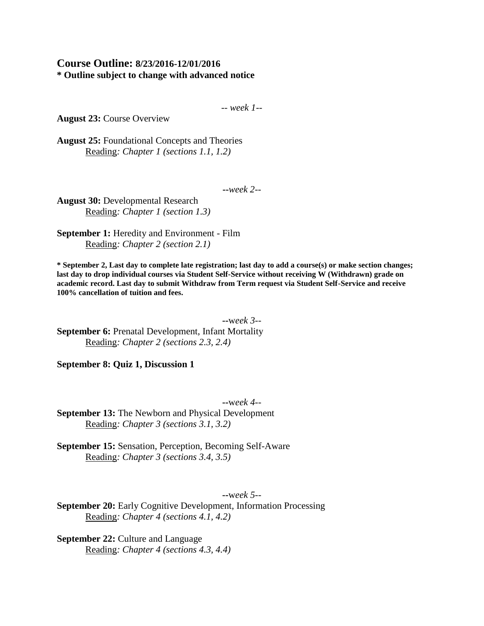# **Course Outline: 8/23/2016-12/01/2016 \* Outline subject to change with advanced notice**

-- *week 1--*

**August 23:** Course Overview

**August 25:** Foundational Concepts and Theories Reading*: Chapter 1 (sections 1.1, 1.2)*

**--***week 2--*

**August 30:** Developmental Research Reading*: Chapter 1 (section 1.3)*

**September 1:** Heredity and Environment - Film Reading*: Chapter 2 (section 2.1)*

**\* September 2, Last day to complete late registration; last day to add a course(s) or make section changes; last day to drop individual courses via Student Self-Service without receiving W (Withdrawn) grade on academic record. Last day to submit Withdraw from Term request via Student Self-Service and receive 100% cancellation of tuition and fees.**

**--**w*eek 3--* **September 6: Prenatal Development, Infant Mortality** Reading*: Chapter 2 (sections 2.3, 2.4)*

**September 8: Quiz 1, Discussion 1**

**--**w*eek 4--* **September 13:** The Newborn and Physical Development Reading*: Chapter 3 (sections 3.1, 3.2)*

**September 15:** Sensation, Perception, Becoming Self-Aware Reading*: Chapter 3 (sections 3.4, 3.5)*

**--**w*eek 5--*

**September 20:** Early Cognitive Development, Information Processing Reading*: Chapter 4 (sections 4.1, 4.2)*

**September 22: Culture and Language** Reading*: Chapter 4 (sections 4.3, 4.4)*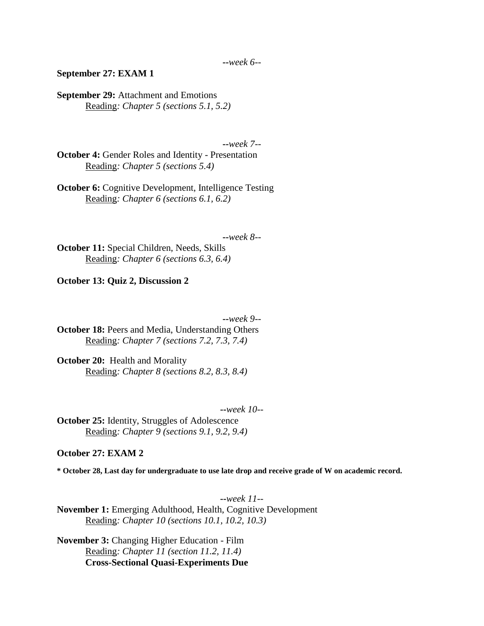#### **September 27: EXAM 1**

**September 29:** Attachment and Emotions Reading*: Chapter 5 (sections 5.1, 5.2)*

**--***week 7--*

**October 4:** Gender Roles and Identity - Presentation Reading*: Chapter 5 (sections 5.4)*

**October 6:** Cognitive Development, Intelligence Testing Reading*: Chapter 6 (sections 6.1, 6.2)*

**--***week 8--*

**October 11:** Special Children, Needs, Skills Reading*: Chapter 6 (sections 6.3, 6.4)*

**October 13: Quiz 2, Discussion 2**

**--***week 9--*

**October 18:** Peers and Media, Understanding Others Reading*: Chapter 7 (sections 7.2, 7.3, 7.4)*

**October 20:** Health and Morality Reading*: Chapter 8 (sections 8.2, 8.3, 8.4)*

**--***week 10--*

**October 25:** Identity, Struggles of Adolescence Reading*: Chapter 9 (sections 9.1, 9.2, 9.4)*

#### **October 27: EXAM 2**

**\* October 28, Last day for undergraduate to use late drop and receive grade of W on academic record.**

**--***week 11--* **November 1:** Emerging Adulthood, Health, Cognitive Development Reading*: Chapter 10 (sections 10.1, 10.2, 10.3)*

**November 3:** Changing Higher Education - Film Reading*: Chapter 11 (section 11.2, 11.4)* **Cross-Sectional Quasi-Experiments Due**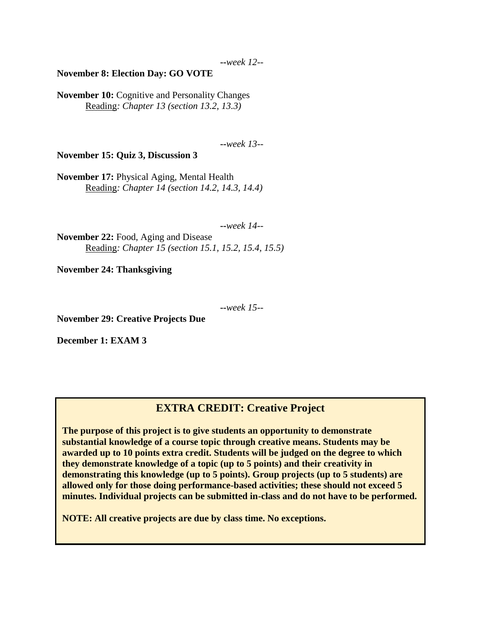#### **November 8: Election Day: GO VOTE**

**November 10:** Cognitive and Personality Changes Reading*: Chapter 13 (section 13.2, 13.3)*

**--***week 13--*

**November 15: Quiz 3, Discussion 3**

**November 17:** Physical Aging, Mental Health Reading*: Chapter 14 (section 14.2, 14.3, 14.4)*

**--***week 14--*

**November 22:** Food, Aging and Disease Reading*: Chapter 15 (section 15.1, 15.2, 15.4, 15.5)*

**November 24: Thanksgiving**

**--***week 15--*

**November 29: Creative Projects Due**

**December 1: EXAM 3**

# **EXTRA CREDIT: Creative Project**

**The purpose of this project is to give students an opportunity to demonstrate substantial knowledge of a course topic through creative means. Students may be awarded up to 10 points extra credit. Students will be judged on the degree to which they demonstrate knowledge of a topic (up to 5 points) and their creativity in demonstrating this knowledge (up to 5 points). Group projects (up to 5 students) are allowed only for those doing performance-based activities; these should not exceed 5 minutes. Individual projects can be submitted in-class and do not have to be performed.**

**NOTE: All creative projects are due by class time. No exceptions.**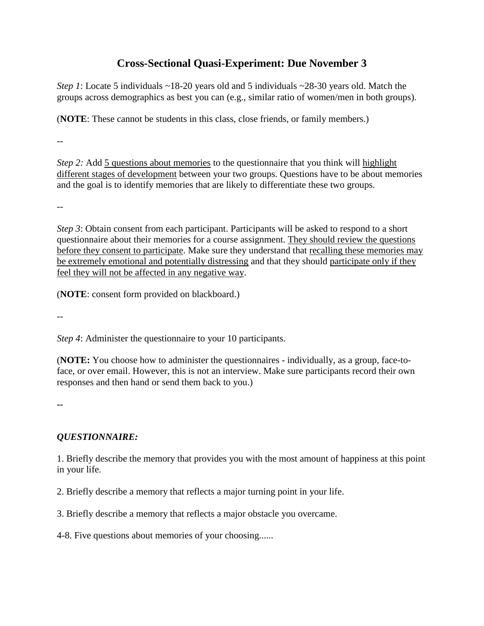# **Cross-Sectional Quasi-Experiment: Due November 3**

*Step 1*: Locate 5 individuals ~18-20 years old and 5 individuals ~28-30 years old. Match the groups across demographics as best you can (e.g., similar ratio of women/men in both groups).

(**NOTE**: These cannot be students in this class, close friends, or family members.)

*--*

*Step 2:* Add 5 questions about memories to the questionnaire that you think will highlight different stages of development between your two groups. Questions have to be about memories and the goal is to identify memories that are likely to differentiate these two groups.

--

*Step 3*: Obtain consent from each participant. Participants will be asked to respond to a short questionnaire about their memories for a course assignment. They should review the questions before they consent to participate. Make sure they understand that recalling these memories may be extremely emotional and potentially distressing and that they should participate only if they feel they will not be affected in any negative way.

(**NOTE**: consent form provided on blackboard.)

*--*

*Step 4*: Administer the questionnaire to your 10 participants.

(**NOTE:** You choose how to administer the questionnaires - individually, as a group, face-toface, or over email. However, this is not an interview. Make sure participants record their own responses and then hand or send them back to you.)

*--*

# *QUESTIONNAIRE:*

1. Briefly describe the memory that provides you with the most amount of happiness at this point in your life.

2. Briefly describe a memory that reflects a major turning point in your life.

3. Briefly describe a memory that reflects a major obstacle you overcame.

4-8. Five questions about memories of your choosing......